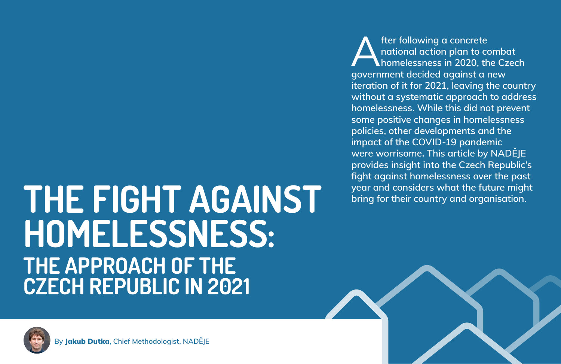## **THE FIGHT AGAINST HOMELESSNESS: THE APPROACH OF THE CZECH REPUBLIC IN 2021**

A**fter following a concrete national action plan to combat homelessness in 2020, the Czech government decided against a new iteration of it for 2021, leaving the country without a systematic approach to address homelessness. While this did not prevent some positive changes in homelessness policies, other developments and the impact of the COVID-19 pandemic were worrisome. This article by NADĚJE provides insight into the Czech Republic's fight against homelessness over the past year and considers what the future might bring for their country and organisation.**

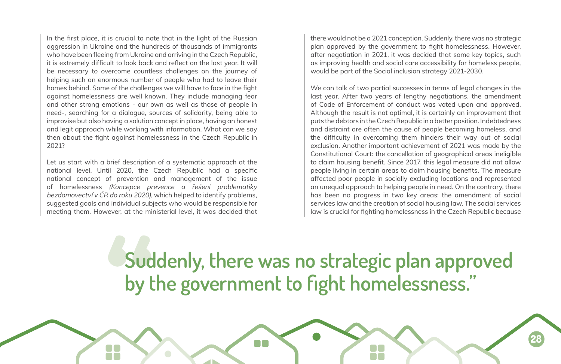In the first place, it is crucial to note that in the light of the Russian aggression in Ukraine and the hundreds of thousands of immigrants who have been fleeing from Ukraine and arriving in the Czech Republic, it is extremely difficult to look back and reflect on the last year. It will be necessary to overcome countless challenges on the journey of helping such an enormous number of people who had to leave their homes behind. Some of the challenges we will have to face in the fight against homelessness are well known. They include managing fear and other strong emotions - our own as well as those of people in need-, searching for a dialogue, sources of solidarity, being able to improvise but also having a solution concept in place, having an honest and legit approach while working with information. What can we say then about the fight against homelessness in the Czech Republic in 2021?

Let us start with a brief description of a systematic approach at the national level. Until 2020, the Czech Republic had a specific national concept of prevention and management of the issue of homelessness *(Koncepce prevence a řešení problematiky bezdomovectví v ČR do roku 2020)*, which helped to identify problems, suggested goals and individual subjects who would be responsible for meeting them. However, at the ministerial level, it was decided that there would not be a 2021 conception. Suddenly, there was no strategic plan approved by the government to fight homelessness. However, after negotiation in 2021, it was decided that some key topics, such as improving health and social care accessibility for homeless people, would be part of the Social inclusion strategy 2021-2030.

We can talk of two partial successes in terms of legal changes in the last year. After two years of lengthy negotiations, the amendment of Code of Enforcement of conduct was voted upon and approved. Although the result is not optimal, it is certainly an improvement that puts the debtors in the Czech Republic in a better position. Indebtedness and distraint are often the cause of people becoming homeless, and the difficulty in overcoming them hinders their way out of social exclusion. Another important achievement of 2021 was made by the Constitutional Court: the cancellation of geographical areas ineligible to claim housing benefit. Since 2017, this legal measure did not allow people living in certain areas to claim housing benefits. The measure affected poor people in socially excluding locations and represented an unequal approach to helping people in need. On the contrary, there has been no progress in two key areas: the amendment of social services law and the creation of social housing law. The social services law is crucial for fighting homelessness in the Czech Republic because

## **Suddenly, there was no strategic plan approved by the government to fight homelessness."**

88

**28**